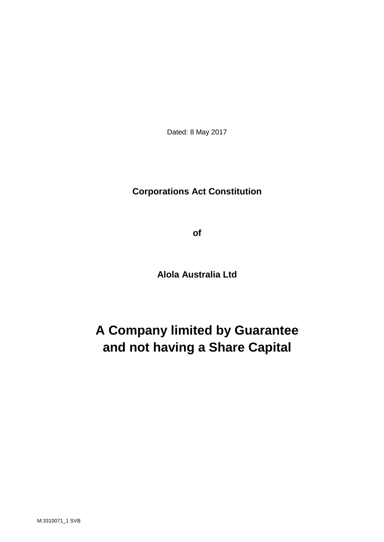Dated: 8 May 2017

# **Corporations Act Constitution**

**of**

**Alola Australia Ltd**

# **A Company limited by Guarantee and not having a Share Capital**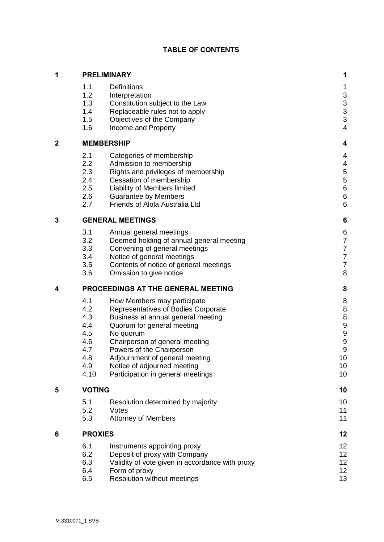# **TABLE OF CONTENTS**

| 1              |                                                                     | <b>PRELIMINARY</b>                                                                                                                                                                                                                                                                                                       | 1                                                                                                     |
|----------------|---------------------------------------------------------------------|--------------------------------------------------------------------------------------------------------------------------------------------------------------------------------------------------------------------------------------------------------------------------------------------------------------------------|-------------------------------------------------------------------------------------------------------|
|                | 1.1<br>1.2<br>1.3<br>1.4<br>1.5<br>1.6                              | <b>Definitions</b><br>Interpretation<br>Constitution subject to the Law<br>Replaceable rules not to apply<br>Objectives of the Company<br>Income and Property                                                                                                                                                            | 1<br>$\frac{3}{3}$<br>3<br>3<br>$\overline{4}$                                                        |
| $\overline{2}$ | <b>MEMBERSHIP</b>                                                   | 4                                                                                                                                                                                                                                                                                                                        |                                                                                                       |
|                | 2.1<br>2.2<br>2.3<br>2.4<br>2.5<br>2.6<br>2.7                       | Categories of membership<br>Admission to membership<br>Rights and privileges of membership<br>Cessation of membership<br>Liability of Members limited<br><b>Guarantee by Members</b><br>Friends of Alola Australia Ltd                                                                                                   | $\overline{\mathcal{A}}$<br>$\overline{4}$<br>$\frac{5}{5}$<br>$\overline{6}$<br>$6\phantom{1}6$<br>6 |
| 3              | <b>GENERAL MEETINGS</b>                                             |                                                                                                                                                                                                                                                                                                                          |                                                                                                       |
|                | 3.1<br>3.2<br>3.3<br>3.4<br>3.5<br>3.6                              | Annual general meetings<br>Deemed holding of annual general meeting<br>Convening of general meetings<br>Notice of general meetings<br>Contents of notice of general meetings<br>Omission to give notice                                                                                                                  | $\boldsymbol{6}$<br>$\begin{array}{c} 7 \\ 7 \\ 7 \end{array}$<br>$\overline{7}$<br>8                 |
| 4              | PROCEEDINGS AT THE GENERAL MEETING                                  |                                                                                                                                                                                                                                                                                                                          | 8                                                                                                     |
|                | 4.1<br>4.2<br>4.3<br>4.4<br>4.5<br>4.6<br>4.7<br>4.8<br>4.9<br>4.10 | How Members may participate<br>Representatives of Bodies Corporate<br>Business at annual general meeting<br>Quorum for general meeting<br>No quorum<br>Chairperson of general meeting<br>Powers of the Chairperson<br>Adjournment of general meeting<br>Notice of adjourned meeting<br>Participation in general meetings | 8<br>8<br>8<br>9<br>9<br>9<br>9<br>10<br>10<br>10                                                     |
| 5              | <b>VOTING</b>                                                       |                                                                                                                                                                                                                                                                                                                          |                                                                                                       |
|                | 5.1<br>5.2<br>5.3                                                   | Resolution determined by majority<br>Votes<br><b>Attorney of Members</b>                                                                                                                                                                                                                                                 | 10<br>11<br>11                                                                                        |
| 6              | <b>PROXIES</b>                                                      |                                                                                                                                                                                                                                                                                                                          | 12                                                                                                    |
|                | 6.1<br>6.2<br>6.3<br>6.4<br>6.5                                     | Instruments appointing proxy<br>Deposit of proxy with Company<br>Validity of vote given in accordance with proxy<br>Form of proxy<br>Resolution without meetings                                                                                                                                                         | 12<br>12<br>12<br>12<br>13                                                                            |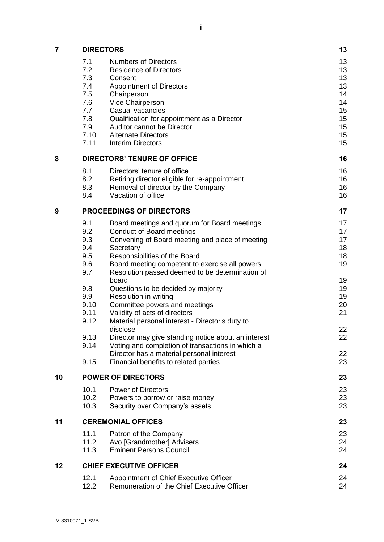| <br>Ш |  |
|-------|--|
|       |  |

| 7  | <b>DIRECTORS</b>                   |                                                          | 13       |
|----|------------------------------------|----------------------------------------------------------|----------|
|    | 7.1                                | <b>Numbers of Directors</b>                              | 13       |
|    | 7.2                                | <b>Residence of Directors</b>                            | 13       |
|    | 7.3                                | Consent                                                  | 13       |
|    | 7.4                                | <b>Appointment of Directors</b>                          | 13       |
|    | 7.5                                | Chairperson                                              | 14       |
|    | 7.6                                | Vice Chairperson                                         | 14       |
|    | 7.7                                | Casual vacancies                                         | 15       |
|    | 7.8                                | Qualification for appointment as a Director              | 15       |
|    | 7.9                                | Auditor cannot be Director                               | 15       |
|    | 7.10<br>7.11                       | <b>Alternate Directors</b><br><b>Interim Directors</b>   | 15<br>15 |
|    |                                    |                                                          |          |
| 8  | <b>DIRECTORS' TENURE OF OFFICE</b> |                                                          |          |
|    | 8.1                                | Directors' tenure of office                              | 16       |
|    | 8.2                                | Retiring director eligible for re-appointment            | 16       |
|    | 8.3                                | Removal of director by the Company                       | 16       |
|    | 8.4                                | Vacation of office                                       | 16       |
| 9  | <b>PROCEEDINGS OF DIRECTORS</b>    |                                                          | 17       |
|    | 9.1                                | Board meetings and quorum for Board meetings             | 17       |
|    | 9.2                                | <b>Conduct of Board meetings</b>                         | 17       |
|    | 9.3                                | Convening of Board meeting and place of meeting          | 17       |
|    | 9.4                                | Secretary                                                | 18       |
|    | 9.5                                | Responsibilities of the Board                            | 18       |
|    | 9.6                                | Board meeting competent to exercise all powers           | 19       |
|    | 9.7                                | Resolution passed deemed to be determination of<br>board | 19       |
|    | 9.8                                | Questions to be decided by majority                      | 19       |
|    | 9.9                                | Resolution in writing                                    | 19       |
|    | 9.10                               | Committee powers and meetings                            | 20       |
|    | 9.11                               | Validity of acts of directors                            | 21       |
|    | 9.12                               | Material personal interest - Director's duty to          |          |
|    |                                    | disclose                                                 | 22       |
|    | 9.13                               | Director may give standing notice about an interest      | 22       |
|    | 9.14                               | Voting and completion of transactions in which a         |          |
|    |                                    | Director has a material personal interest                | 22       |
|    | 9.15                               | Financial benefits to related parties                    | 23       |
| 10 | <b>POWER OF DIRECTORS</b>          |                                                          |          |
|    | 10.1                               | <b>Power of Directors</b>                                | 23       |
|    | 10.2                               | Powers to borrow or raise money                          | 23       |
|    | 10.3                               | Security over Company's assets                           | 23       |
| 11 | <b>CEREMONIAL OFFICES</b>          |                                                          | 23       |
|    | 11.1                               | Patron of the Company                                    | 23       |
|    | 11.2                               | Avo [Grandmother] Advisers                               | 24       |
|    | 11.3                               | <b>Eminent Persons Council</b>                           | 24       |
| 12 | <b>CHIEF EXECUTIVE OFFICER</b>     |                                                          | 24       |
|    | 12.1                               | Appointment of Chief Executive Officer                   | 24       |
|    | 12.2                               | Remuneration of the Chief Executive Officer              | 24       |
|    |                                    |                                                          |          |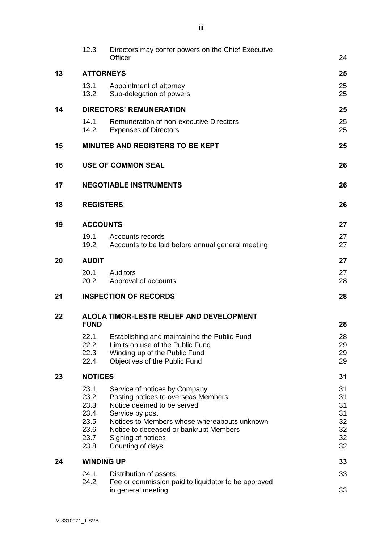|    | 12.3                                                         | Directors may confer powers on the Chief Executive<br>Officer                                                                                                                                                                                             | 24                                           |
|----|--------------------------------------------------------------|-----------------------------------------------------------------------------------------------------------------------------------------------------------------------------------------------------------------------------------------------------------|----------------------------------------------|
| 13 |                                                              | <b>ATTORNEYS</b>                                                                                                                                                                                                                                          | 25                                           |
|    | 13.1<br>13.2                                                 | Appointment of attorney<br>Sub-delegation of powers                                                                                                                                                                                                       | 25<br>25                                     |
| 14 | <b>DIRECTORS' REMUNERATION</b>                               |                                                                                                                                                                                                                                                           |                                              |
|    | 14.1<br>14.2                                                 | Remuneration of non-executive Directors<br><b>Expenses of Directors</b>                                                                                                                                                                                   | 25<br>25                                     |
| 15 |                                                              | <b>MINUTES AND REGISTERS TO BE KEPT</b>                                                                                                                                                                                                                   | 25                                           |
| 16 |                                                              | <b>USE OF COMMON SEAL</b>                                                                                                                                                                                                                                 | 26                                           |
| 17 |                                                              | <b>NEGOTIABLE INSTRUMENTS</b>                                                                                                                                                                                                                             | 26                                           |
| 18 | <b>REGISTERS</b>                                             |                                                                                                                                                                                                                                                           | 26                                           |
| 19 | <b>ACCOUNTS</b>                                              |                                                                                                                                                                                                                                                           |                                              |
|    | 19.1<br>19.2                                                 | Accounts records<br>Accounts to be laid before annual general meeting                                                                                                                                                                                     | 27<br>27                                     |
| 20 | <b>AUDIT</b>                                                 |                                                                                                                                                                                                                                                           |                                              |
|    | 20.1<br>20.2                                                 | <b>Auditors</b><br>Approval of accounts                                                                                                                                                                                                                   | 27<br>28                                     |
| 21 |                                                              | <b>INSPECTION OF RECORDS</b>                                                                                                                                                                                                                              | 28                                           |
| 22 | ALOLA TIMOR-LESTE RELIEF AND DEVELOPMENT<br><b>FUND</b>      |                                                                                                                                                                                                                                                           |                                              |
|    | 22.1<br>22.2<br>22.3<br>22.4                                 | Establishing and maintaining the Public Fund<br>Limits on use of the Public Fund<br>Winding up of the Public Fund<br>Objectives of the Public Fund                                                                                                        | 28<br>29<br>29<br>29                         |
| 23 | <b>NOTICES</b>                                               |                                                                                                                                                                                                                                                           |                                              |
|    | 23.1<br>23.2<br>23.3<br>23.4<br>23.5<br>23.6<br>23.7<br>23.8 | Service of notices by Company<br>Posting notices to overseas Members<br>Notice deemed to be served<br>Service by post<br>Notices to Members whose whereabouts unknown<br>Notice to deceased or bankrupt Members<br>Signing of notices<br>Counting of days | 31<br>31<br>31<br>31<br>32<br>32<br>32<br>32 |
| 24 | <b>WINDING UP</b>                                            |                                                                                                                                                                                                                                                           |                                              |
|    | 24.1                                                         | Distribution of assets                                                                                                                                                                                                                                    | 33                                           |
|    | 24.2                                                         | Fee or commission paid to liquidator to be approved<br>in general meeting                                                                                                                                                                                 | 33                                           |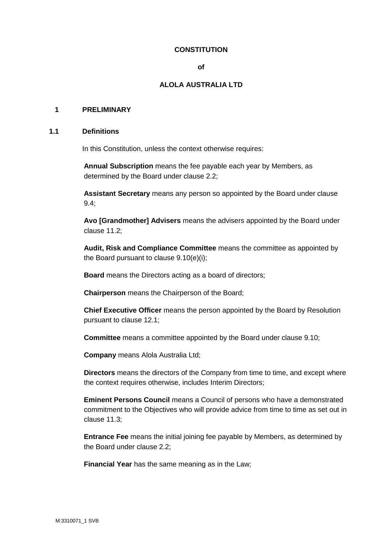# **CONSTITUTION**

#### **of**

# **ALOLA AUSTRALIA LTD**

#### **1 PRELIMINARY**

#### **1.1 Definitions**

In this Constitution, unless the context otherwise requires:

**Annual Subscription** means the fee payable each year by Members, as determined by the Board under clause 2.2;

**Assistant Secretary** means any person so appointed by the Board under clause 9.4;

**Avo [Grandmother] Advisers** means the advisers appointed by the Board under clause 11.2;

**Audit, Risk and Compliance Committee** means the committee as appointed by the Board pursuant to clause 9.10(e)(i);

**Board** means the Directors acting as a board of directors;

**Chairperson** means the Chairperson of the Board;

**Chief Executive Officer** means the person appointed by the Board by Resolution pursuant to clause 12.1;

**Committee** means a committee appointed by the Board under clause 9.10;

**Company** means Alola Australia Ltd;

**Directors** means the directors of the Company from time to time, and except where the context requires otherwise, includes Interim Directors;

**Eminent Persons Council** means a Council of persons who have a demonstrated commitment to the Objectives who will provide advice from time to time as set out in clause 11.3;

**Entrance Fee** means the initial joining fee payable by Members, as determined by the Board under clause 2.2;

**Financial Year** has the same meaning as in the Law;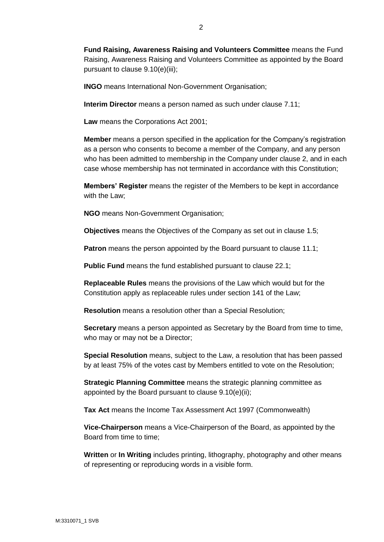**INGO** means International Non-Government Organisation;

**Interim Director** means a person named as such under clause 7.11;

**Law** means the Corporations Act 2001;

**Member** means a person specified in the application for the Company's registration as a person who consents to become a member of the Company, and any person who has been admitted to membership in the Company under clause 2, and in each case whose membership has not terminated in accordance with this Constitution;

**Members' Register** means the register of the Members to be kept in accordance with the Law;

**NGO** means Non-Government Organisation;

**Objectives** means the Objectives of the Company as set out in clause 1.5;

**Patron** means the person appointed by the Board pursuant to clause 11.1;

**Public Fund** means the fund established pursuant to clause 22.1;

**Replaceable Rules** means the provisions of the Law which would but for the Constitution apply as replaceable rules under section 141 of the Law;

**Resolution** means a resolution other than a Special Resolution;

**Secretary** means a person appointed as Secretary by the Board from time to time, who may or may not be a Director;

**Special Resolution** means, subject to the Law, a resolution that has been passed by at least 75% of the votes cast by Members entitled to vote on the Resolution;

**Strategic Planning Committee** means the strategic planning committee as appointed by the Board pursuant to clause 9.10(e)(ii);

**Tax Act** means the Income Tax Assessment Act 1997 (Commonwealth)

**Vice-Chairperson** means a Vice-Chairperson of the Board, as appointed by the Board from time to time;

**Written** or **In Writing** includes printing, lithography, photography and other means of representing or reproducing words in a visible form.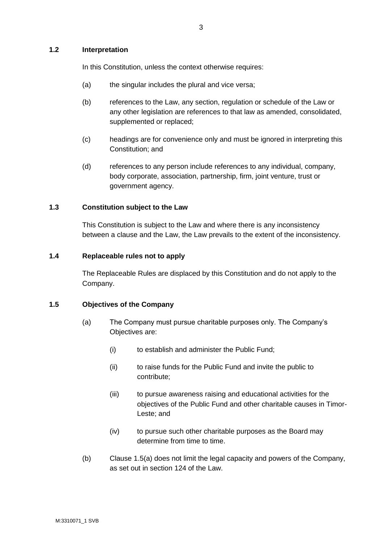#### **1.2 Interpretation**

In this Constitution, unless the context otherwise requires:

- (a) the singular includes the plural and vice versa;
- (b) references to the Law, any section, regulation or schedule of the Law or any other legislation are references to that law as amended, consolidated, supplemented or replaced;
- (c) headings are for convenience only and must be ignored in interpreting this Constitution; and
- (d) references to any person include references to any individual, company, body corporate, association, partnership, firm, joint venture, trust or government agency.

#### **1.3 Constitution subject to the Law**

This Constitution is subject to the Law and where there is any inconsistency between a clause and the Law, the Law prevails to the extent of the inconsistency.

#### **1.4 Replaceable rules not to apply**

The Replaceable Rules are displaced by this Constitution and do not apply to the Company.

#### **1.5 Objectives of the Company**

- (a) The Company must pursue charitable purposes only. The Company's Objectives are:
	- (i) to establish and administer the Public Fund;
	- (ii) to raise funds for the Public Fund and invite the public to contribute;
	- (iii) to pursue awareness raising and educational activities for the objectives of the Public Fund and other charitable causes in Timor-Leste; and
	- (iv) to pursue such other charitable purposes as the Board may determine from time to time.
- (b) Clause 1.5(a) does not limit the legal capacity and powers of the Company, as set out in section 124 of the Law.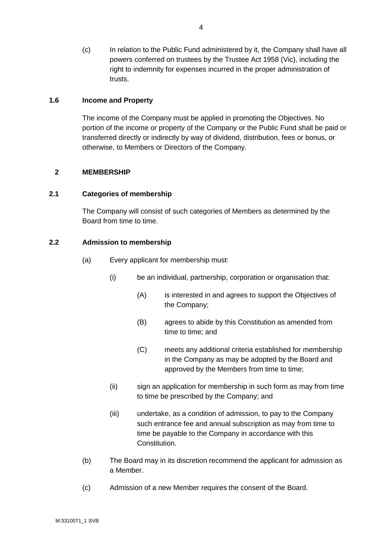(c) In relation to the Public Fund administered by it, the Company shall have all powers conferred on trustees by the Trustee Act 1958 (Vic), including the right to indemnity for expenses incurred in the proper administration of trusts.

#### **1.6 Income and Property**

The income of the Company must be applied in promoting the Objectives. No portion of the income or property of the Company or the Public Fund shall be paid or transferred directly or indirectly by way of dividend, distribution, fees or bonus, or otherwise, to Members or Directors of the Company.

#### **2 MEMBERSHIP**

#### **2.1 Categories of membership**

The Company will consist of such categories of Members as determined by the Board from time to time.

#### **2.2 Admission to membership**

- (a) Every applicant for membership must:
	- (i) be an individual, partnership, corporation or organisation that:
		- (A) is interested in and agrees to support the Objectives of the Company;
		- (B) agrees to abide by this Constitution as amended from time to time; and
		- (C) meets any additional criteria established for membership in the Company as may be adopted by the Board and approved by the Members from time to time;
	- (ii) sign an application for membership in such form as may from time to time be prescribed by the Company; and
	- (iii) undertake, as a condition of admission, to pay to the Company such entrance fee and annual subscription as may from time to time be payable to the Company in accordance with this Constitution.
- (b) The Board may in its discretion recommend the applicant for admission as a Member.
- (c) Admission of a new Member requires the consent of the Board.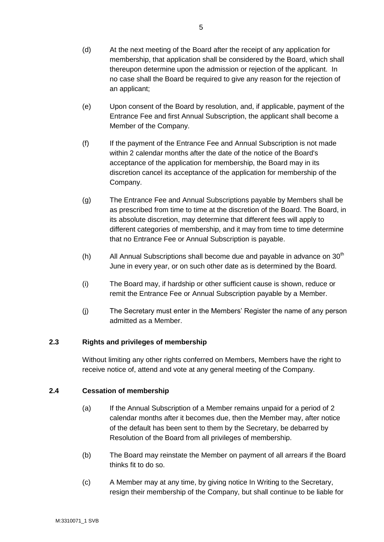- (d) At the next meeting of the Board after the receipt of any application for membership, that application shall be considered by the Board, which shall thereupon determine upon the admission or rejection of the applicant. In no case shall the Board be required to give any reason for the rejection of an applicant;
- (e) Upon consent of the Board by resolution, and, if applicable, payment of the Entrance Fee and first Annual Subscription, the applicant shall become a Member of the Company.
- (f) If the payment of the Entrance Fee and Annual Subscription is not made within 2 calendar months after the date of the notice of the Board's acceptance of the application for membership, the Board may in its discretion cancel its acceptance of the application for membership of the Company.
- (g) The Entrance Fee and Annual Subscriptions payable by Members shall be as prescribed from time to time at the discretion of the Board. The Board, in its absolute discretion, may determine that different fees will apply to different categories of membership, and it may from time to time determine that no Entrance Fee or Annual Subscription is payable.
- (h) All Annual Subscriptions shall become due and payable in advance on  $30<sup>th</sup>$ June in every year, or on such other date as is determined by the Board.
- (i) The Board may, if hardship or other sufficient cause is shown, reduce or remit the Entrance Fee or Annual Subscription payable by a Member.
- (j) The Secretary must enter in the Members' Register the name of any person admitted as a Member.

# **2.3 Rights and privileges of membership**

Without limiting any other rights conferred on Members, Members have the right to receive notice of, attend and vote at any general meeting of the Company.

# **2.4 Cessation of membership**

- (a) If the Annual Subscription of a Member remains unpaid for a period of 2 calendar months after it becomes due, then the Member may, after notice of the default has been sent to them by the Secretary, be debarred by Resolution of the Board from all privileges of membership.
- (b) The Board may reinstate the Member on payment of all arrears if the Board thinks fit to do so.
- (c) A Member may at any time, by giving notice In Writing to the Secretary, resign their membership of the Company, but shall continue to be liable for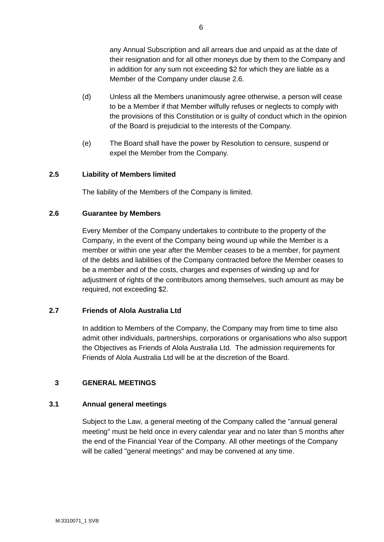any Annual Subscription and all arrears due and unpaid as at the date of their resignation and for all other moneys due by them to the Company and in addition for any sum not exceeding \$2 for which they are liable as a Member of the Company under clause 2.6.

- (d) Unless all the Members unanimously agree otherwise, a person will cease to be a Member if that Member wilfully refuses or neglects to comply with the provisions of this Constitution or is guilty of conduct which in the opinion of the Board is prejudicial to the interests of the Company.
- (e) The Board shall have the power by Resolution to censure, suspend or expel the Member from the Company.

#### **2.5 Liability of Members limited**

The liability of the Members of the Company is limited.

#### **2.6 Guarantee by Members**

Every Member of the Company undertakes to contribute to the property of the Company, in the event of the Company being wound up while the Member is a member or within one year after the Member ceases to be a member, for payment of the debts and liabilities of the Company contracted before the Member ceases to be a member and of the costs, charges and expenses of winding up and for adjustment of rights of the contributors among themselves, such amount as may be required, not exceeding \$2.

#### **2.7 Friends of Alola Australia Ltd**

In addition to Members of the Company, the Company may from time to time also admit other individuals, partnerships, corporations or organisations who also support the Objectives as Friends of Alola Australia Ltd. The admission requirements for Friends of Alola Australia Ltd will be at the discretion of the Board.

#### **3 GENERAL MEETINGS**

#### **3.1 Annual general meetings**

Subject to the Law, a general meeting of the Company called the "annual general meeting" must be held once in every calendar year and no later than 5 months after the end of the Financial Year of the Company. All other meetings of the Company will be called "general meetings" and may be convened at any time.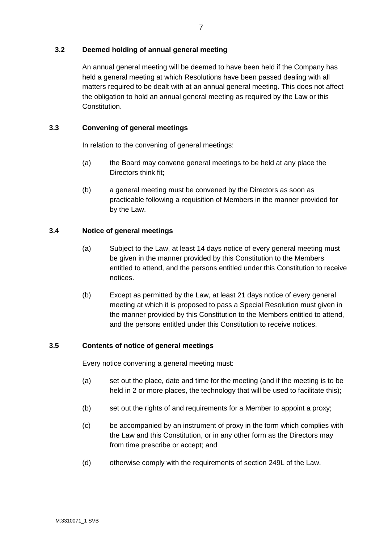# **3.2 Deemed holding of annual general meeting**

An annual general meeting will be deemed to have been held if the Company has held a general meeting at which Resolutions have been passed dealing with all matters required to be dealt with at an annual general meeting. This does not affect the obligation to hold an annual general meeting as required by the Law or this Constitution.

# **3.3 Convening of general meetings**

In relation to the convening of general meetings:

- (a) the Board may convene general meetings to be held at any place the Directors think fit;
- (b) a general meeting must be convened by the Directors as soon as practicable following a requisition of Members in the manner provided for by the Law.

# **3.4 Notice of general meetings**

- (a) Subject to the Law, at least 14 days notice of every general meeting must be given in the manner provided by this Constitution to the Members entitled to attend, and the persons entitled under this Constitution to receive notices.
- (b) Except as permitted by the Law, at least 21 days notice of every general meeting at which it is proposed to pass a Special Resolution must given in the manner provided by this Constitution to the Members entitled to attend, and the persons entitled under this Constitution to receive notices.

#### **3.5 Contents of notice of general meetings**

Every notice convening a general meeting must:

- (a) set out the place, date and time for the meeting (and if the meeting is to be held in 2 or more places, the technology that will be used to facilitate this);
- (b) set out the rights of and requirements for a Member to appoint a proxy;
- (c) be accompanied by an instrument of proxy in the form which complies with the Law and this Constitution, or in any other form as the Directors may from time prescribe or accept; and
- (d) otherwise comply with the requirements of section 249L of the Law.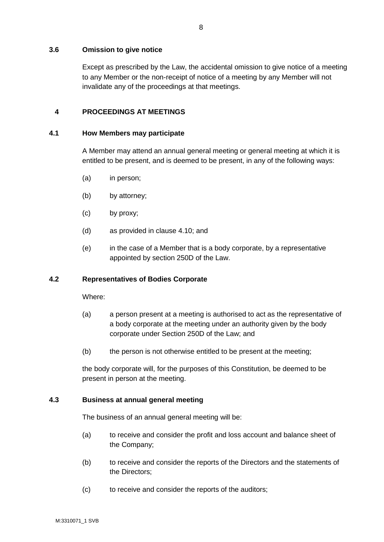#### **3.6 Omission to give notice**

Except as prescribed by the Law, the accidental omission to give notice of a meeting to any Member or the non-receipt of notice of a meeting by any Member will not invalidate any of the proceedings at that meetings.

# **4 PROCEEDINGS AT MEETINGS**

#### **4.1 How Members may participate**

A Member may attend an annual general meeting or general meeting at which it is entitled to be present, and is deemed to be present, in any of the following ways:

- (a) in person;
- (b) by attorney;
- (c) by proxy;
- (d) as provided in clause 4.10; and
- (e) in the case of a Member that is a body corporate, by a representative appointed by section 250D of the Law.

#### **4.2 Representatives of Bodies Corporate**

Where:

- (a) a person present at a meeting is authorised to act as the representative of a body corporate at the meeting under an authority given by the body corporate under Section 250D of the Law; and
- (b) the person is not otherwise entitled to be present at the meeting;

the body corporate will, for the purposes of this Constitution, be deemed to be present in person at the meeting.

#### **4.3 Business at annual general meeting**

The business of an annual general meeting will be:

- (a) to receive and consider the profit and loss account and balance sheet of the Company;
- (b) to receive and consider the reports of the Directors and the statements of the Directors;
- (c) to receive and consider the reports of the auditors;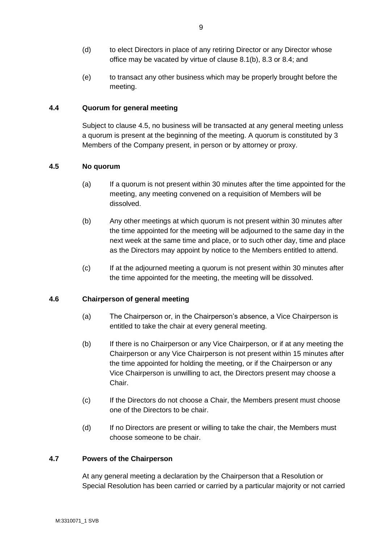- (d) to elect Directors in place of any retiring Director or any Director whose office may be vacated by virtue of clause 8.1(b), 8.3 or 8.4; and
- (e) to transact any other business which may be properly brought before the meeting.

# **4.4 Quorum for general meeting**

Subject to clause 4.5, no business will be transacted at any general meeting unless a quorum is present at the beginning of the meeting. A quorum is constituted by 3 Members of the Company present, in person or by attorney or proxy.

#### **4.5 No quorum**

- (a) If a quorum is not present within 30 minutes after the time appointed for the meeting, any meeting convened on a requisition of Members will be dissolved.
- (b) Any other meetings at which quorum is not present within 30 minutes after the time appointed for the meeting will be adjourned to the same day in the next week at the same time and place, or to such other day, time and place as the Directors may appoint by notice to the Members entitled to attend.
- (c) If at the adjourned meeting a quorum is not present within 30 minutes after the time appointed for the meeting, the meeting will be dissolved.

#### **4.6 Chairperson of general meeting**

- (a) The Chairperson or, in the Chairperson's absence, a Vice Chairperson is entitled to take the chair at every general meeting.
- (b) If there is no Chairperson or any Vice Chairperson, or if at any meeting the Chairperson or any Vice Chairperson is not present within 15 minutes after the time appointed for holding the meeting, or if the Chairperson or any Vice Chairperson is unwilling to act, the Directors present may choose a Chair.
- (c) If the Directors do not choose a Chair, the Members present must choose one of the Directors to be chair.
- (d) If no Directors are present or willing to take the chair, the Members must choose someone to be chair.

#### **4.7 Powers of the Chairperson**

At any general meeting a declaration by the Chairperson that a Resolution or Special Resolution has been carried or carried by a particular majority or not carried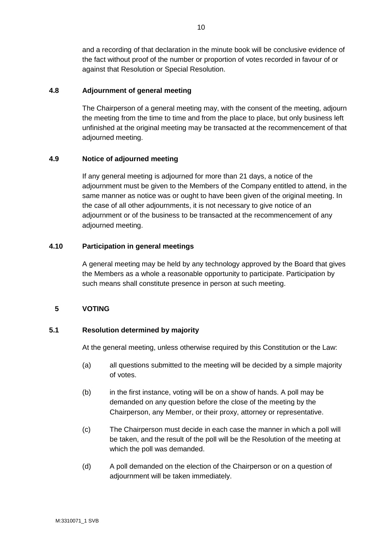and a recording of that declaration in the minute book will be conclusive evidence of the fact without proof of the number or proportion of votes recorded in favour of or against that Resolution or Special Resolution.

# **4.8 Adjournment of general meeting**

The Chairperson of a general meeting may, with the consent of the meeting, adjourn the meeting from the time to time and from the place to place, but only business left unfinished at the original meeting may be transacted at the recommencement of that adjourned meeting.

# **4.9 Notice of adjourned meeting**

If any general meeting is adjourned for more than 21 days, a notice of the adjournment must be given to the Members of the Company entitled to attend, in the same manner as notice was or ought to have been given of the original meeting. In the case of all other adjournments, it is not necessary to give notice of an adjournment or of the business to be transacted at the recommencement of any adjourned meeting.

# **4.10 Participation in general meetings**

A general meeting may be held by any technology approved by the Board that gives the Members as a whole a reasonable opportunity to participate. Participation by such means shall constitute presence in person at such meeting.

# **5 VOTING**

# **5.1 Resolution determined by majority**

At the general meeting, unless otherwise required by this Constitution or the Law:

- (a) all questions submitted to the meeting will be decided by a simple majority of votes.
- (b) in the first instance, voting will be on a show of hands. A poll may be demanded on any question before the close of the meeting by the Chairperson, any Member, or their proxy, attorney or representative.
- (c) The Chairperson must decide in each case the manner in which a poll will be taken, and the result of the poll will be the Resolution of the meeting at which the poll was demanded.
- (d) A poll demanded on the election of the Chairperson or on a question of adjournment will be taken immediately.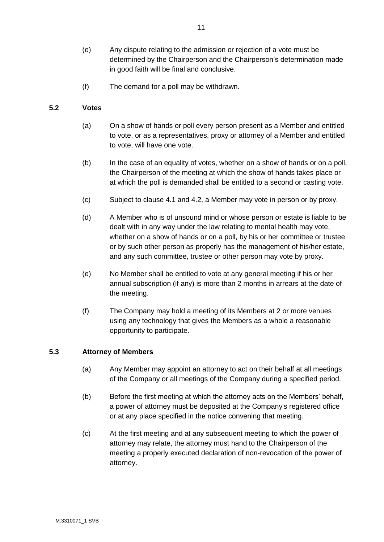- (e) Any dispute relating to the admission or rejection of a vote must be determined by the Chairperson and the Chairperson's determination made in good faith will be final and conclusive.
- (f) The demand for a poll may be withdrawn.

# **5.2 Votes**

- (a) On a show of hands or poll every person present as a Member and entitled to vote, or as a representatives, proxy or attorney of a Member and entitled to vote, will have one vote.
- (b) In the case of an equality of votes, whether on a show of hands or on a poll, the Chairperson of the meeting at which the show of hands takes place or at which the poll is demanded shall be entitled to a second or casting vote.
- (c) Subject to clause 4.1 and 4.2, a Member may vote in person or by proxy.
- (d) A Member who is of unsound mind or whose person or estate is liable to be dealt with in any way under the law relating to mental health may vote, whether on a show of hands or on a poll, by his or her committee or trustee or by such other person as properly has the management of his/her estate, and any such committee, trustee or other person may vote by proxy.
- (e) No Member shall be entitled to vote at any general meeting if his or her annual subscription (if any) is more than 2 months in arrears at the date of the meeting.
- (f) The Company may hold a meeting of its Members at 2 or more venues using any technology that gives the Members as a whole a reasonable opportunity to participate.

#### **5.3 Attorney of Members**

- (a) Any Member may appoint an attorney to act on their behalf at all meetings of the Company or all meetings of the Company during a specified period.
- (b) Before the first meeting at which the attorney acts on the Members' behalf, a power of attorney must be deposited at the Company's registered office or at any place specified in the notice convening that meeting.
- (c) At the first meeting and at any subsequent meeting to which the power of attorney may relate, the attorney must hand to the Chairperson of the meeting a properly executed declaration of non-revocation of the power of attorney.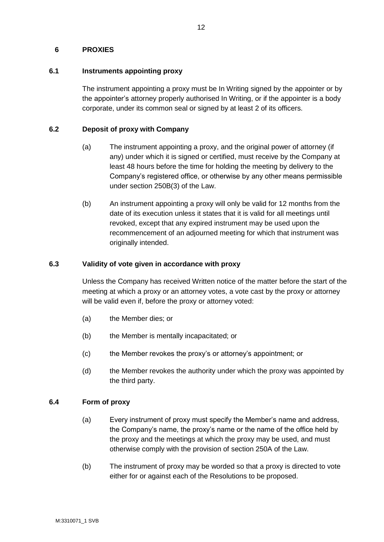#### **6 PROXIES**

# **6.1 Instruments appointing proxy**

The instrument appointing a proxy must be In Writing signed by the appointer or by the appointer's attorney properly authorised In Writing, or if the appointer is a body corporate, under its common seal or signed by at least 2 of its officers.

# **6.2 Deposit of proxy with Company**

- (a) The instrument appointing a proxy, and the original power of attorney (if any) under which it is signed or certified, must receive by the Company at least 48 hours before the time for holding the meeting by delivery to the Company's registered office, or otherwise by any other means permissible under section 250B(3) of the Law.
- (b) An instrument appointing a proxy will only be valid for 12 months from the date of its execution unless it states that it is valid for all meetings until revoked, except that any expired instrument may be used upon the recommencement of an adjourned meeting for which that instrument was originally intended.

# **6.3 Validity of vote given in accordance with proxy**

Unless the Company has received Written notice of the matter before the start of the meeting at which a proxy or an attorney votes, a vote cast by the proxy or attorney will be valid even if, before the proxy or attorney voted:

- (a) the Member dies; or
- (b) the Member is mentally incapacitated; or
- (c) the Member revokes the proxy's or attorney's appointment; or
- (d) the Member revokes the authority under which the proxy was appointed by the third party.

#### **6.4 Form of proxy**

- (a) Every instrument of proxy must specify the Member's name and address, the Company's name, the proxy's name or the name of the office held by the proxy and the meetings at which the proxy may be used, and must otherwise comply with the provision of section 250A of the Law.
- (b) The instrument of proxy may be worded so that a proxy is directed to vote either for or against each of the Resolutions to be proposed.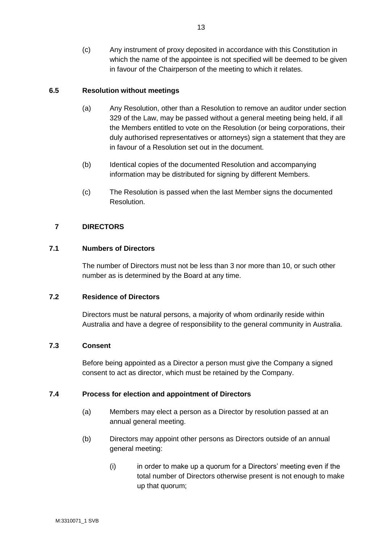(c) Any instrument of proxy deposited in accordance with this Constitution in which the name of the appointee is not specified will be deemed to be given in favour of the Chairperson of the meeting to which it relates.

# **6.5 Resolution without meetings**

- (a) Any Resolution, other than a Resolution to remove an auditor under section 329 of the Law, may be passed without a general meeting being held, if all the Members entitled to vote on the Resolution (or being corporations, their duly authorised representatives or attorneys) sign a statement that they are in favour of a Resolution set out in the document.
- (b) Identical copies of the documented Resolution and accompanying information may be distributed for signing by different Members.
- (c) The Resolution is passed when the last Member signs the documented Resolution.

# **7 DIRECTORS**

#### **7.1 Numbers of Directors**

The number of Directors must not be less than 3 nor more than 10, or such other number as is determined by the Board at any time.

#### **7.2 Residence of Directors**

Directors must be natural persons, a majority of whom ordinarily reside within Australia and have a degree of responsibility to the general community in Australia.

#### **7.3 Consent**

Before being appointed as a Director a person must give the Company a signed consent to act as director, which must be retained by the Company.

#### **7.4 Process for election and appointment of Directors**

- (a) Members may elect a person as a Director by resolution passed at an annual general meeting.
- (b) Directors may appoint other persons as Directors outside of an annual general meeting:
	- (i) in order to make up a quorum for a Directors' meeting even if the total number of Directors otherwise present is not enough to make up that quorum;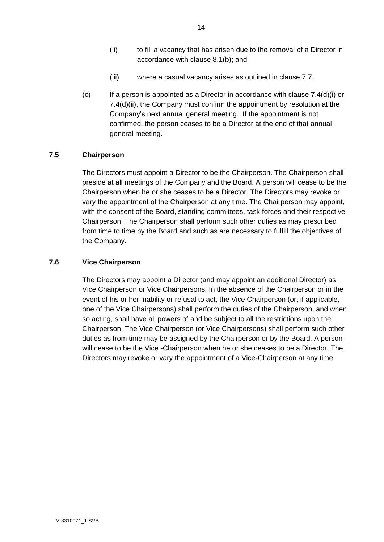- (iii) where a casual vacancy arises as outlined in clause 7.7.
- (c) If a person is appointed as a Director in accordance with clause 7.4(d)(i) or 7.4(d)(ii), the Company must confirm the appointment by resolution at the Company's next annual general meeting. If the appointment is not confirmed, the person ceases to be a Director at the end of that annual general meeting.

#### **7.5 Chairperson**

The Directors must appoint a Director to be the Chairperson. The Chairperson shall preside at all meetings of the Company and the Board. A person will cease to be the Chairperson when he or she ceases to be a Director. The Directors may revoke or vary the appointment of the Chairperson at any time. The Chairperson may appoint, with the consent of the Board, standing committees, task forces and their respective Chairperson. The Chairperson shall perform such other duties as may prescribed from time to time by the Board and such as are necessary to fulfill the objectives of the Company.

#### **7.6 Vice Chairperson**

The Directors may appoint a Director (and may appoint an additional Director) as Vice Chairperson or Vice Chairpersons. In the absence of the Chairperson or in the event of his or her inability or refusal to act, the Vice Chairperson (or, if applicable, one of the Vice Chairpersons) shall perform the duties of the Chairperson, and when so acting, shall have all powers of and be subject to all the restrictions upon the Chairperson. The Vice Chairperson (or Vice Chairpersons) shall perform such other duties as from time may be assigned by the Chairperson or by the Board. A person will cease to be the Vice -Chairperson when he or she ceases to be a Director. The Directors may revoke or vary the appointment of a Vice-Chairperson at any time.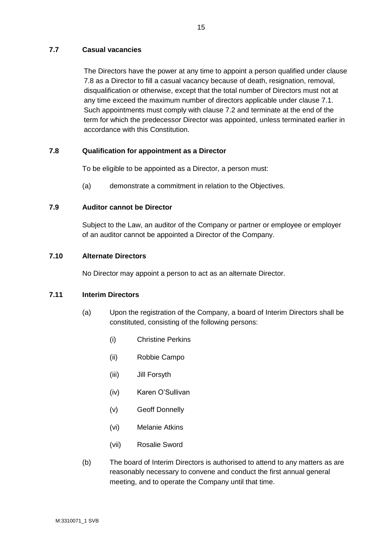# **7.7 Casual vacancies**

The Directors have the power at any time to appoint a person qualified under clause 7.8 as a Director to fill a casual vacancy because of death, resignation, removal, disqualification or otherwise, except that the total number of Directors must not at any time exceed the maximum number of directors applicable under clause 7.1. Such appointments must comply with clause 7.2 and terminate at the end of the term for which the predecessor Director was appointed, unless terminated earlier in accordance with this Constitution.

# **7.8 Qualification for appointment as a Director**

To be eligible to be appointed as a Director, a person must:

(a) demonstrate a commitment in relation to the Objectives.

# **7.9 Auditor cannot be Director**

Subject to the Law, an auditor of the Company or partner or employee or employer of an auditor cannot be appointed a Director of the Company.

# **7.10 Alternate Directors**

No Director may appoint a person to act as an alternate Director.

#### **7.11 Interim Directors**

- (a) Upon the registration of the Company, a board of Interim Directors shall be constituted, consisting of the following persons:
	- (i) Christine Perkins
	- (ii) Robbie Campo
	- (iii) Jill Forsyth
	- (iv) Karen O'Sullivan
	- (v) Geoff Donnelly
	- (vi) Melanie Atkins
	- (vii) Rosalie Sword
- (b) The board of Interim Directors is authorised to attend to any matters as are reasonably necessary to convene and conduct the first annual general meeting, and to operate the Company until that time.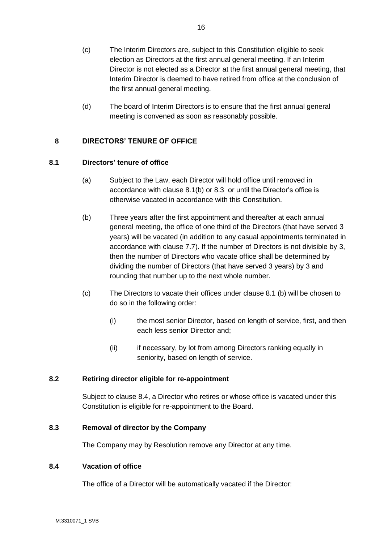- (c) The Interim Directors are, subject to this Constitution eligible to seek election as Directors at the first annual general meeting. If an Interim Director is not elected as a Director at the first annual general meeting, that Interim Director is deemed to have retired from office at the conclusion of the first annual general meeting.
- (d) The board of Interim Directors is to ensure that the first annual general meeting is convened as soon as reasonably possible.

# **8 DIRECTORS' TENURE OF OFFICE**

#### **8.1 Directors' tenure of office**

- (a) Subject to the Law, each Director will hold office until removed in accordance with clause 8.1(b) or 8.3 or until the Director's office is otherwise vacated in accordance with this Constitution.
- (b) Three years after the first appointment and thereafter at each annual general meeting, the office of one third of the Directors (that have served 3 years) will be vacated (in addition to any casual appointments terminated in accordance with clause 7.7). If the number of Directors is not divisible by 3, then the number of Directors who vacate office shall be determined by dividing the number of Directors (that have served 3 years) by 3 and rounding that number up to the next whole number.
- (c) The Directors to vacate their offices under clause 8.1 (b) will be chosen to do so in the following order:
	- (i) the most senior Director, based on length of service, first, and then each less senior Director and;
	- (ii) if necessary, by lot from among Directors ranking equally in seniority, based on length of service.

#### **8.2 Retiring director eligible for re-appointment**

Subject to clause 8.4, a Director who retires or whose office is vacated under this Constitution is eligible for re-appointment to the Board.

#### **8.3 Removal of director by the Company**

The Company may by Resolution remove any Director at any time.

#### **8.4 Vacation of office**

The office of a Director will be automatically vacated if the Director: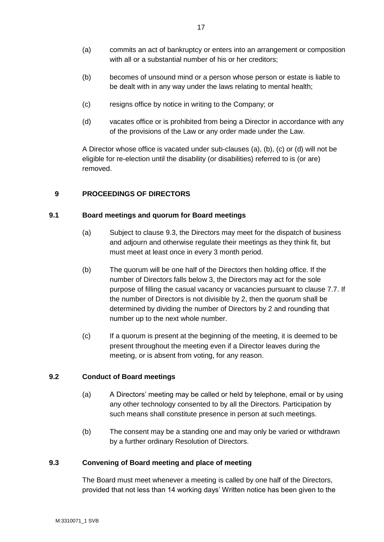- (a) commits an act of bankruptcy or enters into an arrangement or composition with all or a substantial number of his or her creditors;
- (b) becomes of unsound mind or a person whose person or estate is liable to be dealt with in any way under the laws relating to mental health;
- (c) resigns office by notice in writing to the Company; or
- (d) vacates office or is prohibited from being a Director in accordance with any of the provisions of the Law or any order made under the Law.

A Director whose office is vacated under sub-clauses (a), (b), (c) or (d) will not be eligible for re-election until the disability (or disabilities) referred to is (or are) removed.

# **9 PROCEEDINGS OF DIRECTORS**

#### **9.1 Board meetings and quorum for Board meetings**

- (a) Subject to clause 9.3, the Directors may meet for the dispatch of business and adjourn and otherwise regulate their meetings as they think fit, but must meet at least once in every 3 month period.
- (b) The quorum will be one half of the Directors then holding office. If the number of Directors falls below 3, the Directors may act for the sole purpose of filling the casual vacancy or vacancies pursuant to clause 7.7. If the number of Directors is not divisible by 2, then the quorum shall be determined by dividing the number of Directors by 2 and rounding that number up to the next whole number.
- (c) If a quorum is present at the beginning of the meeting, it is deemed to be present throughout the meeting even if a Director leaves during the meeting, or is absent from voting, for any reason.

#### **9.2 Conduct of Board meetings**

- (a) A Directors' meeting may be called or held by telephone, email or by using any other technology consented to by all the Directors. Participation by such means shall constitute presence in person at such meetings.
- (b) The consent may be a standing one and may only be varied or withdrawn by a further ordinary Resolution of Directors.

#### **9.3 Convening of Board meeting and place of meeting**

The Board must meet whenever a meeting is called by one half of the Directors, provided that not less than 14 working days' Written notice has been given to the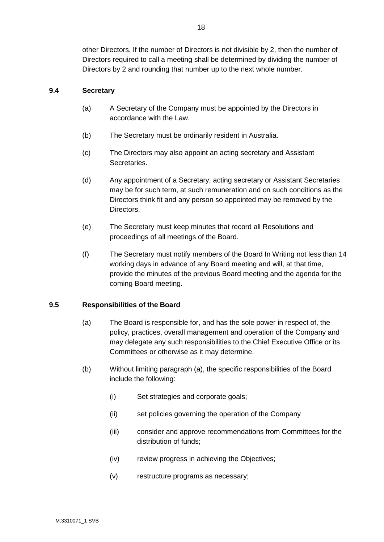other Directors. If the number of Directors is not divisible by 2, then the number of Directors required to call a meeting shall be determined by dividing the number of Directors by 2 and rounding that number up to the next whole number.

# **9.4 Secretary**

- (a) A Secretary of the Company must be appointed by the Directors in accordance with the Law.
- (b) The Secretary must be ordinarily resident in Australia.
- (c) The Directors may also appoint an acting secretary and Assistant Secretaries.
- (d) Any appointment of a Secretary, acting secretary or Assistant Secretaries may be for such term, at such remuneration and on such conditions as the Directors think fit and any person so appointed may be removed by the Directors.
- (e) The Secretary must keep minutes that record all Resolutions and proceedings of all meetings of the Board.
- (f) The Secretary must notify members of the Board In Writing not less than 14 working days in advance of any Board meeting and will, at that time, provide the minutes of the previous Board meeting and the agenda for the coming Board meeting.

#### **9.5 Responsibilities of the Board**

- (a) The Board is responsible for, and has the sole power in respect of, the policy, practices, overall management and operation of the Company and may delegate any such responsibilities to the Chief Executive Office or its Committees or otherwise as it may determine.
- (b) Without limiting paragraph (a), the specific responsibilities of the Board include the following:
	- (i) Set strategies and corporate goals;
	- (ii) set policies governing the operation of the Company
	- (iii) consider and approve recommendations from Committees for the distribution of funds;
	- (iv) review progress in achieving the Objectives;
	- (v) restructure programs as necessary;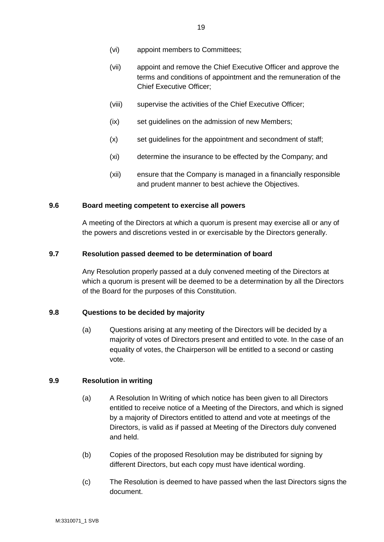- (vi) appoint members to Committees;
- (vii) appoint and remove the Chief Executive Officer and approve the terms and conditions of appointment and the remuneration of the Chief Executive Officer;
- (viii) supervise the activities of the Chief Executive Officer;
- (ix) set guidelines on the admission of new Members;
- (x) set guidelines for the appointment and secondment of staff;
- (xi) determine the insurance to be effected by the Company; and
- (xii) ensure that the Company is managed in a financially responsible and prudent manner to best achieve the Objectives.

#### **9.6 Board meeting competent to exercise all powers**

A meeting of the Directors at which a quorum is present may exercise all or any of the powers and discretions vested in or exercisable by the Directors generally.

#### **9.7 Resolution passed deemed to be determination of board**

Any Resolution properly passed at a duly convened meeting of the Directors at which a quorum is present will be deemed to be a determination by all the Directors of the Board for the purposes of this Constitution.

#### **9.8 Questions to be decided by majority**

(a) Questions arising at any meeting of the Directors will be decided by a majority of votes of Directors present and entitled to vote. In the case of an equality of votes, the Chairperson will be entitled to a second or casting vote.

#### **9.9 Resolution in writing**

- (a) A Resolution In Writing of which notice has been given to all Directors entitled to receive notice of a Meeting of the Directors, and which is signed by a majority of Directors entitled to attend and vote at meetings of the Directors, is valid as if passed at Meeting of the Directors duly convened and held.
- (b) Copies of the proposed Resolution may be distributed for signing by different Directors, but each copy must have identical wording.
- (c) The Resolution is deemed to have passed when the last Directors signs the document.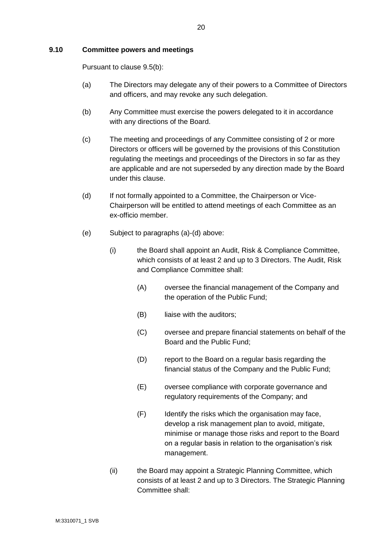#### **9.10 Committee powers and meetings**

Pursuant to clause 9.5(b):

- (a) The Directors may delegate any of their powers to a Committee of Directors and officers, and may revoke any such delegation.
- (b) Any Committee must exercise the powers delegated to it in accordance with any directions of the Board.
- (c) The meeting and proceedings of any Committee consisting of 2 or more Directors or officers will be governed by the provisions of this Constitution regulating the meetings and proceedings of the Directors in so far as they are applicable and are not superseded by any direction made by the Board under this clause.
- (d) If not formally appointed to a Committee, the Chairperson or Vice-Chairperson will be entitled to attend meetings of each Committee as an ex-officio member.
- (e) Subject to paragraphs (a)-(d) above:
	- (i) the Board shall appoint an Audit, Risk & Compliance Committee, which consists of at least 2 and up to 3 Directors. The Audit, Risk and Compliance Committee shall:
		- (A) oversee the financial management of the Company and the operation of the Public Fund;
		- (B) liaise with the auditors:
		- (C) oversee and prepare financial statements on behalf of the Board and the Public Fund;
		- (D) report to the Board on a regular basis regarding the financial status of the Company and the Public Fund;
		- (E) oversee compliance with corporate governance and regulatory requirements of the Company; and
		- (F) Identify the risks which the organisation may face, develop a risk management plan to avoid, mitigate, minimise or manage those risks and report to the Board on a regular basis in relation to the organisation's risk management.
	- (ii) the Board may appoint a Strategic Planning Committee, which consists of at least 2 and up to 3 Directors. The Strategic Planning Committee shall: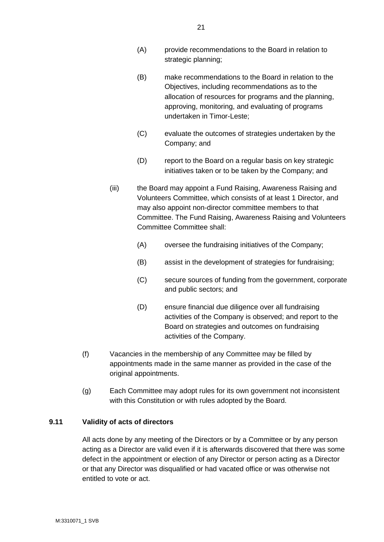- (A) provide recommendations to the Board in relation to strategic planning;
- (B) make recommendations to the Board in relation to the Objectives, including recommendations as to the allocation of resources for programs and the planning, approving, monitoring, and evaluating of programs undertaken in Timor-Leste;
- (C) evaluate the outcomes of strategies undertaken by the Company; and
- (D) report to the Board on a regular basis on key strategic initiatives taken or to be taken by the Company; and
- (iii) the Board may appoint a Fund Raising, Awareness Raising and Volunteers Committee, which consists of at least 1 Director, and may also appoint non-director committee members to that Committee. The Fund Raising, Awareness Raising and Volunteers Committee Committee shall:
	- (A) oversee the fundraising initiatives of the Company;
	- (B) assist in the development of strategies for fundraising;
	- (C) secure sources of funding from the government, corporate and public sectors; and
	- (D) ensure financial due diligence over all fundraising activities of the Company is observed; and report to the Board on strategies and outcomes on fundraising activities of the Company.
- (f) Vacancies in the membership of any Committee may be filled by appointments made in the same manner as provided in the case of the original appointments.
- (g) Each Committee may adopt rules for its own government not inconsistent with this Constitution or with rules adopted by the Board.

# **9.11 Validity of acts of directors**

All acts done by any meeting of the Directors or by a Committee or by any person acting as a Director are valid even if it is afterwards discovered that there was some defect in the appointment or election of any Director or person acting as a Director or that any Director was disqualified or had vacated office or was otherwise not entitled to vote or act.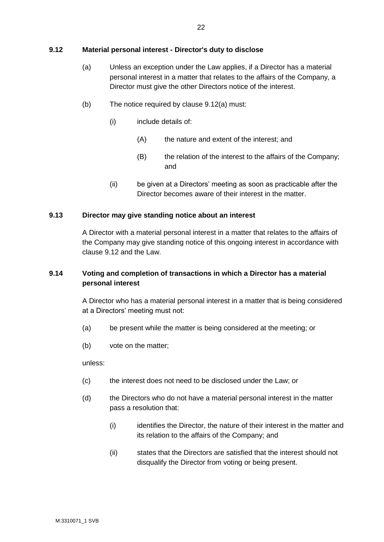# **9.12 Material personal interest - Director's duty to disclose**

- (a) Unless an exception under the Law applies, if a Director has a material personal interest in a matter that relates to the affairs of the Company, a Director must give the other Directors notice of the interest.
- (b) The notice required by clause 9.12(a) must:
	- (i) include details of:
		- (A) the nature and extent of the interest; and
		- (B) the relation of the interest to the affairs of the Company; and
	- (ii) be given at a Directors' meeting as soon as practicable after the Director becomes aware of their interest in the matter.

#### **9.13 Director may give standing notice about an interest**

A Director with a material personal interest in a matter that relates to the affairs of the Company may give standing notice of this ongoing interest in accordance with clause 9.12 and the Law.

# **9.14 Voting and completion of transactions in which a Director has a material personal interest**

A Director who has a material personal interest in a matter that is being considered at a Directors' meeting must not:

- (a) be present while the matter is being considered at the meeting; or
- (b) vote on the matter;

unless:

- (c) the interest does not need to be disclosed under the Law; or
- (d) the Directors who do not have a material personal interest in the matter pass a resolution that:
	- (i) identifies the Director, the nature of their interest in the matter and its relation to the affairs of the Company; and
	- (ii) states that the Directors are satisfied that the interest should not disqualify the Director from voting or being present.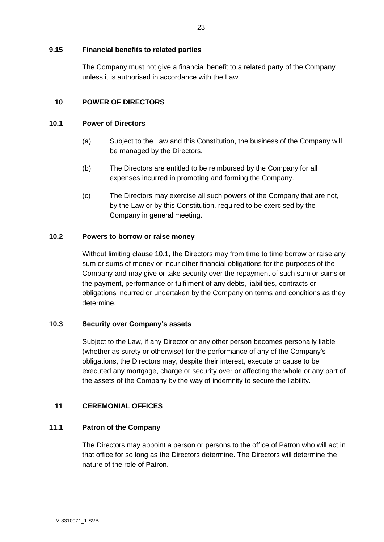#### **9.15 Financial benefits to related parties**

The Company must not give a financial benefit to a related party of the Company unless it is authorised in accordance with the Law.

# **10 POWER OF DIRECTORS**

#### **10.1 Power of Directors**

- (a) Subject to the Law and this Constitution, the business of the Company will be managed by the Directors.
- (b) The Directors are entitled to be reimbursed by the Company for all expenses incurred in promoting and forming the Company.
- (c) The Directors may exercise all such powers of the Company that are not, by the Law or by this Constitution, required to be exercised by the Company in general meeting.

# **10.2 Powers to borrow or raise money**

Without limiting clause 10.1, the Directors may from time to time borrow or raise any sum or sums of money or incur other financial obligations for the purposes of the Company and may give or take security over the repayment of such sum or sums or the payment, performance or fulfilment of any debts, liabilities, contracts or obligations incurred or undertaken by the Company on terms and conditions as they determine.

#### **10.3 Security over Company's assets**

Subject to the Law, if any Director or any other person becomes personally liable (whether as surety or otherwise) for the performance of any of the Company's obligations, the Directors may, despite their interest, execute or cause to be executed any mortgage, charge or security over or affecting the whole or any part of the assets of the Company by the way of indemnity to secure the liability.

# **11 CEREMONIAL OFFICES**

# **11.1 Patron of the Company**

The Directors may appoint a person or persons to the office of Patron who will act in that office for so long as the Directors determine. The Directors will determine the nature of the role of Patron.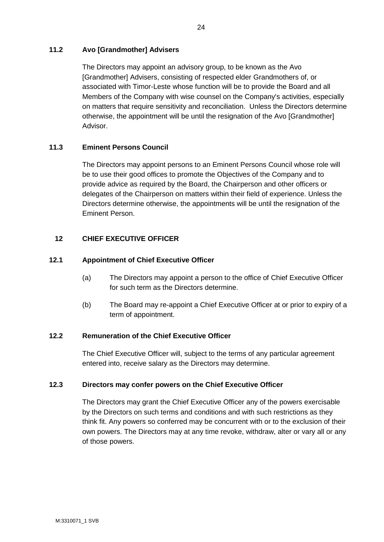# **11.2 Avo [Grandmother] Advisers**

The Directors may appoint an advisory group, to be known as the Avo [Grandmother] Advisers, consisting of respected elder Grandmothers of, or associated with Timor-Leste whose function will be to provide the Board and all Members of the Company with wise counsel on the Company's activities, especially on matters that require sensitivity and reconciliation. Unless the Directors determine otherwise, the appointment will be until the resignation of the Avo [Grandmother] Advisor.

# **11.3 Eminent Persons Council**

The Directors may appoint persons to an Eminent Persons Council whose role will be to use their good offices to promote the Objectives of the Company and to provide advice as required by the Board, the Chairperson and other officers or delegates of the Chairperson on matters within their field of experience. Unless the Directors determine otherwise, the appointments will be until the resignation of the Eminent Person.

# **12 CHIEF EXECUTIVE OFFICER**

#### **12.1 Appointment of Chief Executive Officer**

- (a) The Directors may appoint a person to the office of Chief Executive Officer for such term as the Directors determine.
- (b) The Board may re-appoint a Chief Executive Officer at or prior to expiry of a term of appointment.

# **12.2 Remuneration of the Chief Executive Officer**

The Chief Executive Officer will, subject to the terms of any particular agreement entered into, receive salary as the Directors may determine.

#### **12.3 Directors may confer powers on the Chief Executive Officer**

The Directors may grant the Chief Executive Officer any of the powers exercisable by the Directors on such terms and conditions and with such restrictions as they think fit. Any powers so conferred may be concurrent with or to the exclusion of their own powers. The Directors may at any time revoke, withdraw, alter or vary all or any of those powers.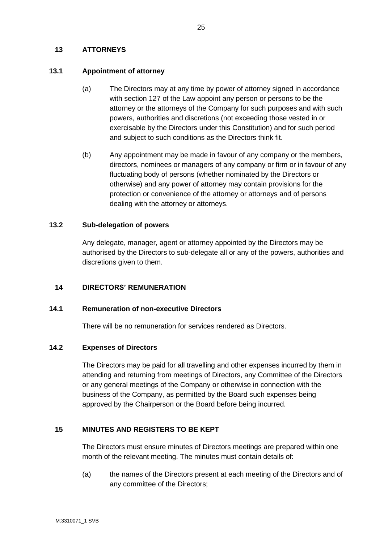# **13 ATTORNEYS**

# **13.1 Appointment of attorney**

- (a) The Directors may at any time by power of attorney signed in accordance with section 127 of the Law appoint any person or persons to be the attorney or the attorneys of the Company for such purposes and with such powers, authorities and discretions (not exceeding those vested in or exercisable by the Directors under this Constitution) and for such period and subject to such conditions as the Directors think fit.
- (b) Any appointment may be made in favour of any company or the members, directors, nominees or managers of any company or firm or in favour of any fluctuating body of persons (whether nominated by the Directors or otherwise) and any power of attorney may contain provisions for the protection or convenience of the attorney or attorneys and of persons dealing with the attorney or attorneys.

# **13.2 Sub-delegation of powers**

Any delegate, manager, agent or attorney appointed by the Directors may be authorised by the Directors to sub-delegate all or any of the powers, authorities and discretions given to them.

# **14 DIRECTORS' REMUNERATION**

#### **14.1 Remuneration of non-executive Directors**

There will be no remuneration for services rendered as Directors.

#### **14.2 Expenses of Directors**

The Directors may be paid for all travelling and other expenses incurred by them in attending and returning from meetings of Directors, any Committee of the Directors or any general meetings of the Company or otherwise in connection with the business of the Company, as permitted by the Board such expenses being approved by the Chairperson or the Board before being incurred.

# **15 MINUTES AND REGISTERS TO BE KEPT**

The Directors must ensure minutes of Directors meetings are prepared within one month of the relevant meeting. The minutes must contain details of:

(a) the names of the Directors present at each meeting of the Directors and of any committee of the Directors;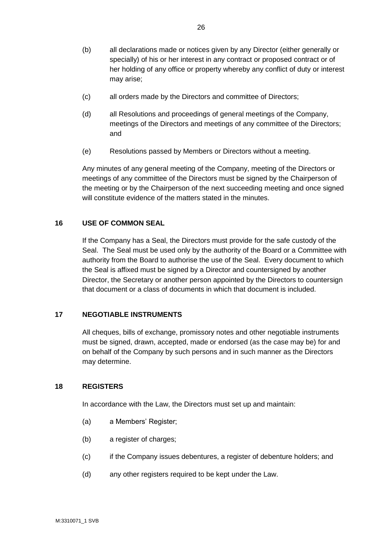- (b) all declarations made or notices given by any Director (either generally or specially) of his or her interest in any contract or proposed contract or of her holding of any office or property whereby any conflict of duty or interest may arise;
- (c) all orders made by the Directors and committee of Directors;
- (d) all Resolutions and proceedings of general meetings of the Company, meetings of the Directors and meetings of any committee of the Directors; and
- (e) Resolutions passed by Members or Directors without a meeting.

Any minutes of any general meeting of the Company, meeting of the Directors or meetings of any committee of the Directors must be signed by the Chairperson of the meeting or by the Chairperson of the next succeeding meeting and once signed will constitute evidence of the matters stated in the minutes.

# **16 USE OF COMMON SEAL**

If the Company has a Seal, the Directors must provide for the safe custody of the Seal. The Seal must be used only by the authority of the Board or a Committee with authority from the Board to authorise the use of the Seal. Every document to which the Seal is affixed must be signed by a Director and countersigned by another Director, the Secretary or another person appointed by the Directors to countersign that document or a class of documents in which that document is included.

# **17 NEGOTIABLE INSTRUMENTS**

All cheques, bills of exchange, promissory notes and other negotiable instruments must be signed, drawn, accepted, made or endorsed (as the case may be) for and on behalf of the Company by such persons and in such manner as the Directors may determine.

#### **18 REGISTERS**

In accordance with the Law, the Directors must set up and maintain:

- (a) a Members' Register;
- (b) a register of charges;
- (c) if the Company issues debentures, a register of debenture holders; and
- (d) any other registers required to be kept under the Law.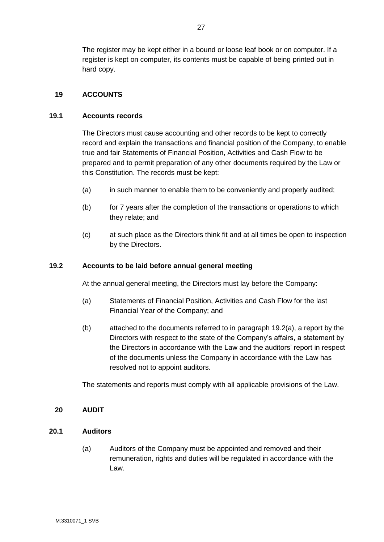The register may be kept either in a bound or loose leaf book or on computer. If a register is kept on computer, its contents must be capable of being printed out in hard copy.

# **19 ACCOUNTS**

#### **19.1 Accounts records**

The Directors must cause accounting and other records to be kept to correctly record and explain the transactions and financial position of the Company, to enable true and fair Statements of Financial Position, Activities and Cash Flow to be prepared and to permit preparation of any other documents required by the Law or this Constitution. The records must be kept:

- (a) in such manner to enable them to be conveniently and properly audited;
- (b) for 7 years after the completion of the transactions or operations to which they relate; and
- (c) at such place as the Directors think fit and at all times be open to inspection by the Directors.

#### **19.2 Accounts to be laid before annual general meeting**

At the annual general meeting, the Directors must lay before the Company:

- (a) Statements of Financial Position, Activities and Cash Flow for the last Financial Year of the Company; and
- (b) attached to the documents referred to in paragraph 19.2(a), a report by the Directors with respect to the state of the Company's affairs, a statement by the Directors in accordance with the Law and the auditors' report in respect of the documents unless the Company in accordance with the Law has resolved not to appoint auditors.

The statements and reports must comply with all applicable provisions of the Law.

#### **20 AUDIT**

#### **20.1 Auditors**

(a) Auditors of the Company must be appointed and removed and their remuneration, rights and duties will be regulated in accordance with the Law.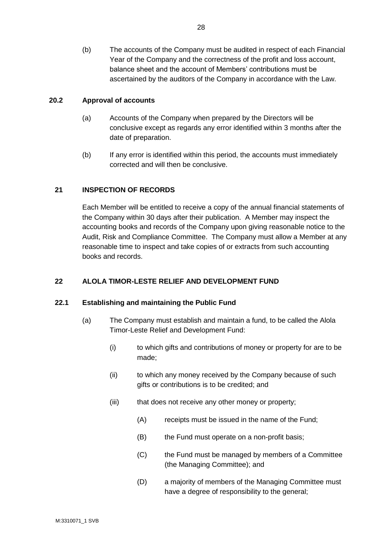(b) The accounts of the Company must be audited in respect of each Financial Year of the Company and the correctness of the profit and loss account, balance sheet and the account of Members' contributions must be ascertained by the auditors of the Company in accordance with the Law.

#### **20.2 Approval of accounts**

- (a) Accounts of the Company when prepared by the Directors will be conclusive except as regards any error identified within 3 months after the date of preparation.
- (b) If any error is identified within this period, the accounts must immediately corrected and will then be conclusive.

# **21 INSPECTION OF RECORDS**

Each Member will be entitled to receive a copy of the annual financial statements of the Company within 30 days after their publication. A Member may inspect the accounting books and records of the Company upon giving reasonable notice to the Audit, Risk and Compliance Committee. The Company must allow a Member at any reasonable time to inspect and take copies of or extracts from such accounting books and records.

#### **22 ALOLA TIMOR-LESTE RELIEF AND DEVELOPMENT FUND**

#### **22.1 Establishing and maintaining the Public Fund**

- (a) The Company must establish and maintain a fund, to be called the Alola Timor-Leste Relief and Development Fund:
	- (i) to which gifts and contributions of money or property for are to be made;
	- (ii) to which any money received by the Company because of such gifts or contributions is to be credited; and
	- (iii) that does not receive any other money or property;
		- (A) receipts must be issued in the name of the Fund;
		- (B) the Fund must operate on a non-profit basis;
		- (C) the Fund must be managed by members of a Committee (the Managing Committee); and
		- (D) a majority of members of the Managing Committee must have a degree of responsibility to the general;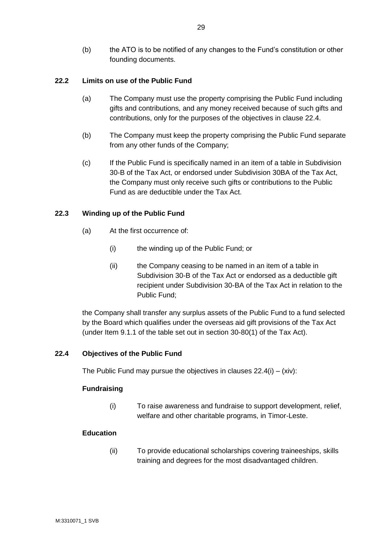(b) the ATO is to be notified of any changes to the Fund's constitution or other founding documents.

# **22.2 Limits on use of the Public Fund**

- (a) The Company must use the property comprising the Public Fund including gifts and contributions, and any money received because of such gifts and contributions, only for the purposes of the objectives in clause 22.4.
- (b) The Company must keep the property comprising the Public Fund separate from any other funds of the Company;
- (c) If the Public Fund is specifically named in an item of a table in Subdivision 30-B of the Tax Act, or endorsed under Subdivision 30BA of the Tax Act, the Company must only receive such gifts or contributions to the Public Fund as are deductible under the Tax Act.

# **22.3 Winding up of the Public Fund**

- (a) At the first occurrence of:
	- (i) the winding up of the Public Fund; or
	- (ii) the Company ceasing to be named in an item of a table in Subdivision 30-B of the Tax Act or endorsed as a deductible gift recipient under Subdivision 30-BA of the Tax Act in relation to the Public Fund;

the Company shall transfer any surplus assets of the Public Fund to a fund selected by the Board which qualifies under the overseas aid gift provisions of the Tax Act (under Item 9.1.1 of the table set out in section 30-80(1) of the Tax Act).

#### **22.4 Objectives of the Public Fund**

The Public Fund may pursue the objectives in clauses  $22.4(i) - (xiv)$ :

#### **Fundraising**

(i) To raise awareness and fundraise to support development, relief, welfare and other charitable programs, in Timor-Leste.

#### **Education**

(ii) To provide educational scholarships covering traineeships, skills training and degrees for the most disadvantaged children.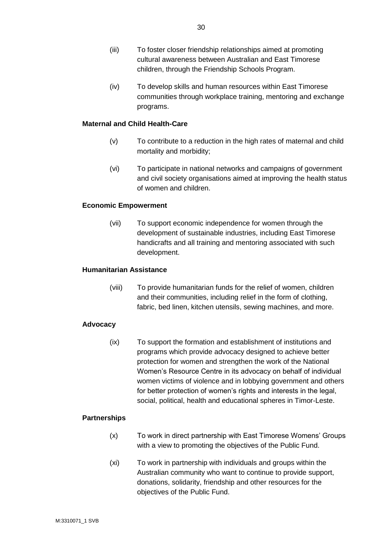- (iii) To foster closer friendship relationships aimed at promoting cultural awareness between Australian and East Timorese children, through the Friendship Schools Program.
- (iv) To develop skills and human resources within East Timorese communities through workplace training, mentoring and exchange programs.

#### **Maternal and Child Health-Care**

- (v) To contribute to a reduction in the high rates of maternal and child mortality and morbidity;
- (vi) To participate in national networks and campaigns of government and civil society organisations aimed at improving the health status of women and children.

#### **Economic Empowerment**

(vii) To support economic independence for women through the development of sustainable industries, including East Timorese handicrafts and all training and mentoring associated with such development.

#### **Humanitarian Assistance**

(viii) To provide humanitarian funds for the relief of women, children and their communities, including relief in the form of clothing, fabric, bed linen, kitchen utensils, sewing machines, and more.

#### **Advocacy**

(ix) To support the formation and establishment of institutions and programs which provide advocacy designed to achieve better protection for women and strengthen the work of the National Women's Resource Centre in its advocacy on behalf of individual women victims of violence and in lobbying government and others for better protection of women's rights and interests in the legal, social, political, health and educational spheres in Timor-Leste.

#### **Partnerships**

- (x) To work in direct partnership with East Timorese Womens' Groups with a view to promoting the objectives of the Public Fund.
- (xi) To work in partnership with individuals and groups within the Australian community who want to continue to provide support, donations, solidarity, friendship and other resources for the objectives of the Public Fund.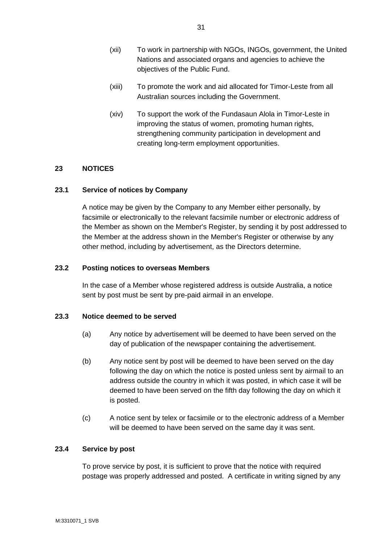- (xii) To work in partnership with NGOs, INGOs, government, the United Nations and associated organs and agencies to achieve the objectives of the Public Fund.
- (xiii) To promote the work and aid allocated for Timor-Leste from all Australian sources including the Government.
- (xiv) To support the work of the Fundasaun Alola in Timor-Leste in improving the status of women, promoting human rights, strengthening community participation in development and creating long-term employment opportunities.

# **23 NOTICES**

# **23.1 Service of notices by Company**

A notice may be given by the Company to any Member either personally, by facsimile or electronically to the relevant facsimile number or electronic address of the Member as shown on the Member's Register, by sending it by post addressed to the Member at the address shown in the Member's Register or otherwise by any other method, including by advertisement, as the Directors determine.

# **23.2 Posting notices to overseas Members**

In the case of a Member whose registered address is outside Australia, a notice sent by post must be sent by pre-paid airmail in an envelope.

#### **23.3 Notice deemed to be served**

- (a) Any notice by advertisement will be deemed to have been served on the day of publication of the newspaper containing the advertisement.
- (b) Any notice sent by post will be deemed to have been served on the day following the day on which the notice is posted unless sent by airmail to an address outside the country in which it was posted, in which case it will be deemed to have been served on the fifth day following the day on which it is posted.
- (c) A notice sent by telex or facsimile or to the electronic address of a Member will be deemed to have been served on the same day it was sent.

#### **23.4 Service by post**

To prove service by post, it is sufficient to prove that the notice with required postage was properly addressed and posted. A certificate in writing signed by any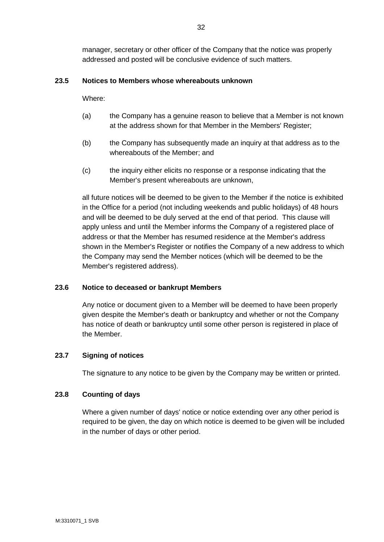manager, secretary or other officer of the Company that the notice was properly addressed and posted will be conclusive evidence of such matters.

# **23.5 Notices to Members whose whereabouts unknown**

Where:

- (a) the Company has a genuine reason to believe that a Member is not known at the address shown for that Member in the Members' Register;
- (b) the Company has subsequently made an inquiry at that address as to the whereabouts of the Member; and
- (c) the inquiry either elicits no response or a response indicating that the Member's present whereabouts are unknown,

all future notices will be deemed to be given to the Member if the notice is exhibited in the Office for a period (not including weekends and public holidays) of 48 hours and will be deemed to be duly served at the end of that period. This clause will apply unless and until the Member informs the Company of a registered place of address or that the Member has resumed residence at the Member's address shown in the Member's Register or notifies the Company of a new address to which the Company may send the Member notices (which will be deemed to be the Member's registered address).

#### **23.6 Notice to deceased or bankrupt Members**

Any notice or document given to a Member will be deemed to have been properly given despite the Member's death or bankruptcy and whether or not the Company has notice of death or bankruptcy until some other person is registered in place of the Member.

#### **23.7 Signing of notices**

The signature to any notice to be given by the Company may be written or printed.

#### **23.8 Counting of days**

Where a given number of days' notice or notice extending over any other period is required to be given, the day on which notice is deemed to be given will be included in the number of days or other period.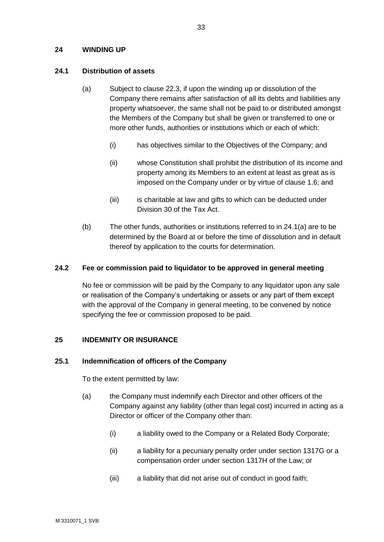#### **24 WINDING UP**

#### **24.1 Distribution of assets**

- (a) Subject to clause 22.3, if upon the winding up or dissolution of the Company there remains after satisfaction of all its debts and liabilities any property whatsoever, the same shall not be paid to or distributed amongst the Members of the Company but shall be given or transferred to one or more other funds, authorities or institutions which or each of which:
	- (i) has objectives similar to the Objectives of the Company; and
	- (ii) whose Constitution shall prohibit the distribution of its income and property among its Members to an extent at least as great as is imposed on the Company under or by virtue of clause 1.6; and
	- (iii) is charitable at law and gifts to which can be deducted under Division 30 of the Tax Act.
- (b) The other funds, authorities or institutions referred to in 24.1(a) are to be determined by the Board at or before the time of dissolution and in default thereof by application to the courts for determination.

#### **24.2 Fee or commission paid to liquidator to be approved in general meeting**

No fee or commission will be paid by the Company to any liquidator upon any sale or realisation of the Company's undertaking or assets or any part of them except with the approval of the Company in general meeting, to be convened by notice specifying the fee or commission proposed to be paid.

#### **25 INDEMNITY OR INSURANCE**

#### **25.1 Indemnification of officers of the Company**

To the extent permitted by law:

- (a) the Company must indemnify each Director and other officers of the Company against any liability (other than legal cost) incurred in acting as a Director or officer of the Company other than:
	- (i) a liability owed to the Company or a Related Body Corporate;
	- (ii) a liability for a pecuniary penalty order under section 1317G or a compensation order under section 1317H of the Law; or
	- (iii) a liability that did not arise out of conduct in good faith;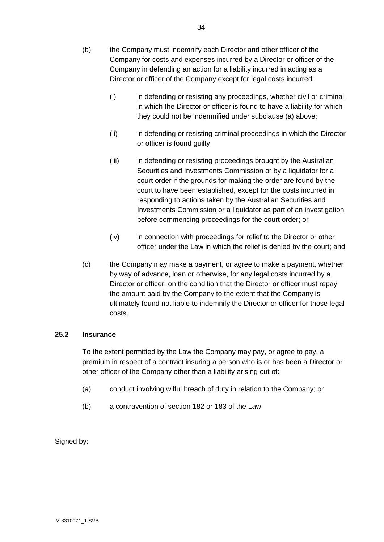- (i) in defending or resisting any proceedings, whether civil or criminal, in which the Director or officer is found to have a liability for which they could not be indemnified under subclause (a) above;
- (ii) in defending or resisting criminal proceedings in which the Director or officer is found guilty;
- (iii) in defending or resisting proceedings brought by the Australian Securities and Investments Commission or by a liquidator for a court order if the grounds for making the order are found by the court to have been established, except for the costs incurred in responding to actions taken by the Australian Securities and Investments Commission or a liquidator as part of an investigation before commencing proceedings for the court order; or
- (iv) in connection with proceedings for relief to the Director or other officer under the Law in which the relief is denied by the court; and
- (c) the Company may make a payment, or agree to make a payment, whether by way of advance, loan or otherwise, for any legal costs incurred by a Director or officer, on the condition that the Director or officer must repay the amount paid by the Company to the extent that the Company is ultimately found not liable to indemnify the Director or officer for those legal costs.

# **25.2 Insurance**

To the extent permitted by the Law the Company may pay, or agree to pay, a premium in respect of a contract insuring a person who is or has been a Director or other officer of the Company other than a liability arising out of:

- (a) conduct involving wilful breach of duty in relation to the Company; or
- (b) a contravention of section 182 or 183 of the Law.

Signed by: